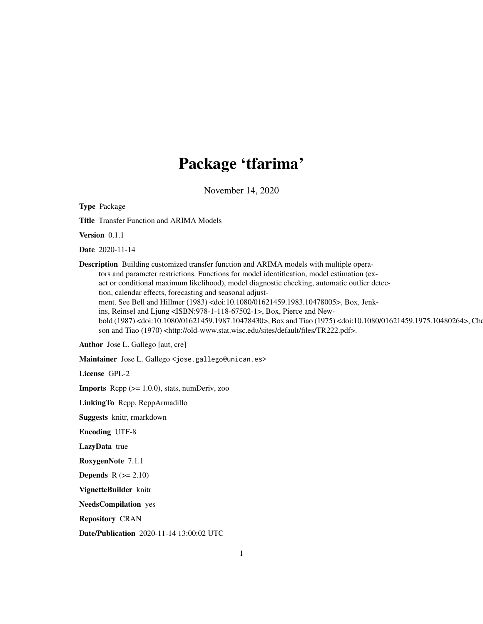# Package 'tfarima'

November 14, 2020

<span id="page-0-0"></span>Type Package

Title Transfer Function and ARIMA Models

Version 0.1.1

Date 2020-11-14

Description Building customized transfer function and ARIMA models with multiple operators and parameter restrictions. Functions for model identification, model estimation (exact or conditional maximum likelihood), model diagnostic checking, automatic outlier detection, calendar effects, forecasting and seasonal adjustment. See Bell and Hillmer (1983) <doi:10.1080/01621459.1983.10478005>, Box, Jenkins, Reinsel and Ljung <ISBN:978-1-118-67502-1>, Box, Pierce and Newbold (1987) <doi:10.1080/01621459.1987.10478430>, Box and Tiao (1975) <doi:10.1080/01621459.1975.10480264>, Che son and Tiao (1970) <http://old-www.stat.wisc.edu/sites/default/files/TR222.pdf>.

Author Jose L. Gallego [aut, cre]

Maintainer Jose L. Gallego <jose.gallego@unican.es>

License GPL-2

Imports Rcpp (>= 1.0.0), stats, numDeriv, zoo

LinkingTo Rcpp, RcppArmadillo

Suggests knitr, rmarkdown

Encoding UTF-8

LazyData true

RoxygenNote 7.1.1

**Depends**  $R$  ( $>= 2.10$ )

VignetteBuilder knitr

NeedsCompilation yes

Repository CRAN

Date/Publication 2020-11-14 13:00:02 UTC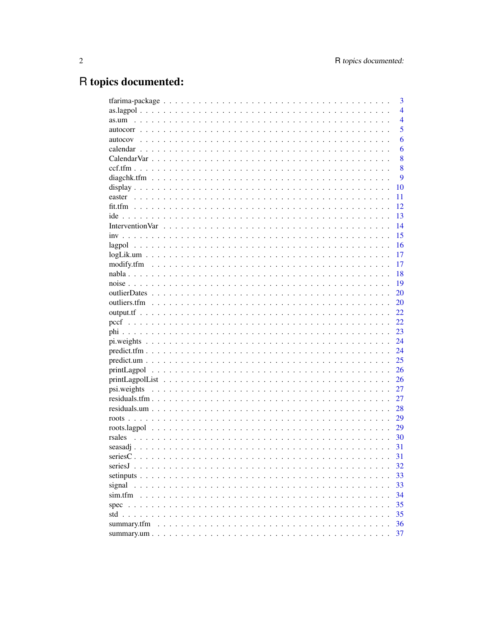# R topics documented:

|              | 3              |
|--------------|----------------|
|              | $\overline{4}$ |
|              | $\overline{4}$ |
|              | 5              |
|              | 6              |
|              | 6              |
|              | 8              |
|              | 8              |
|              | 9              |
|              | 10             |
|              | 11             |
|              | 12             |
|              | 13             |
|              | 14             |
|              | 15             |
|              | 16             |
|              | 17             |
|              | 17             |
|              | 18             |
|              | 19             |
|              | 20             |
|              | 20             |
|              | 22             |
|              | 22             |
|              | 23             |
|              | 24             |
|              | 24             |
|              | 25             |
|              | 26             |
|              |                |
|              | 26             |
|              | 27             |
|              | 27             |
|              | 28             |
|              | 29             |
|              | 29             |
|              | 30             |
|              | 31             |
|              | 31             |
| seriesJ.     | 32             |
|              | 33             |
| signal       | 33             |
| sim.tfm      | 34             |
| spec         | 35             |
| std $\ldots$ | 35             |
| summary.tfm  | 36             |
|              | 37             |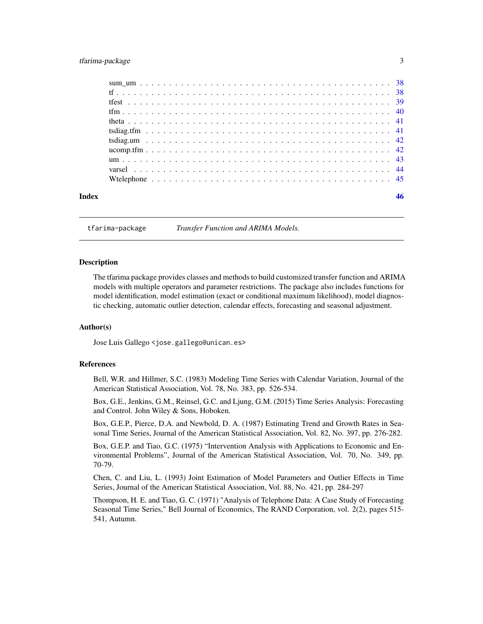# <span id="page-2-0"></span>tfarima-package 3

| Index |  |  |  |  |  |  |  |  |  |  |  |  |  |  |  |  |  |  |
|-------|--|--|--|--|--|--|--|--|--|--|--|--|--|--|--|--|--|--|

tfarima-package *Transfer Function and ARIMA Models.*

#### **Description**

The tfarima package provides classes and methods to build customized transfer function and ARIMA models with multiple operators and parameter restrictions. The package also includes functions for model identification, model estimation (exact or conditional maximum likelihood), model diagnostic checking, automatic outlier detection, calendar effects, forecasting and seasonal adjustment.

#### Author(s)

Jose Luis Gallego <jose.gallego@unican.es>

#### References

Bell, W.R. and Hillmer, S.C. (1983) Modeling Time Series with Calendar Variation, Journal of the American Statistical Association, Vol. 78, No. 383, pp. 526-534.

Box, G.E., Jenkins, G.M., Reinsel, G.C. and Ljung, G.M. (2015) Time Series Analysis: Forecasting and Control. John Wiley & Sons, Hoboken.

Box, G.E.P., Pierce, D.A. and Newbold, D. A. (1987) Estimating Trend and Growth Rates in Seasonal Time Series, Journal of the American Statistical Association, Vol. 82, No. 397, pp. 276-282.

Box, G.E.P. and Tiao, G.C. (1975) "Intervention Analysis with Applications to Economic and Environmental Problems", Journal of the American Statistical Association, Vol. 70, No. 349, pp. 70-79.

Chen, C. and Liu, L. (1993) Joint Estimation of Model Parameters and Outlier Effects in Time Series, Journal of the American Statistical Association, Vol. 88, No. 421, pp. 284-297

Thompson, H. E. and Tiao, G. C. (1971) "Analysis of Telephone Data: A Case Study of Forecasting Seasonal Time Series," Bell Journal of Economics, The RAND Corporation, vol. 2(2), pages 515- 541, Autumn.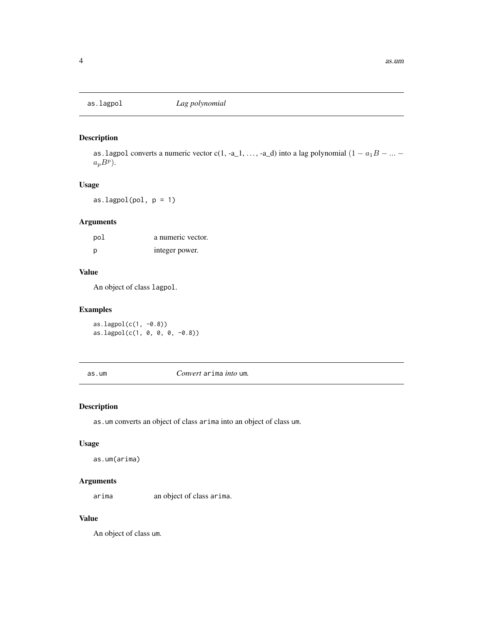<span id="page-3-0"></span>

as. lagpol converts a numeric vector c(1, -a\_1, ..., -a\_d) into a lag polynomial  $(1 - a_1B - ...$  $a_p B^p$ ).

#### Usage

as.lagpol(pol, p = 1)

#### Arguments

| pol | a numeric vector. |
|-----|-------------------|
| p   | integer power.    |

#### Value

An object of class lagpol.

#### Examples

as.lagpol(c(1, -0.8))  $as.lagpol(c(1, 0, 0, 0, -0.8))$ 

as.um *Convert* arima *into* um*.*

# Description

as.um converts an object of class arima into an object of class um.

#### Usage

as.um(arima)

# Arguments

arima an object of class arima.

#### Value

An object of class um.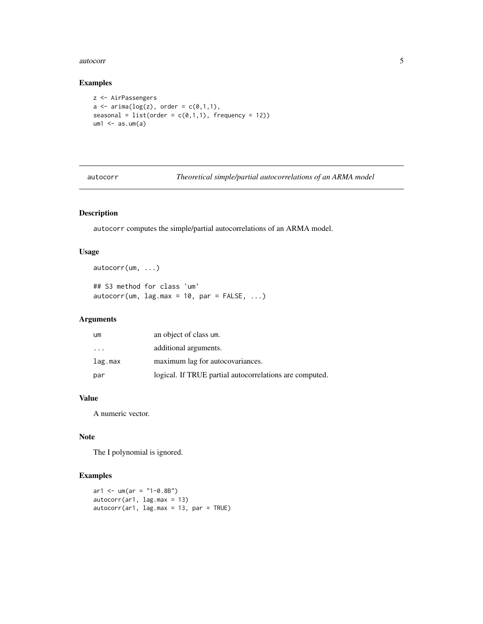#### <span id="page-4-0"></span>autocorr 5

#### Examples

```
z <- AirPassengers
a \leftarrow \text{arima(log}(z), \text{ order} = c(0,1,1),seasonal = list(order = c(0,1,1), frequency = 12))
um1 < -as.um(a)
```
autocorr *Theoretical simple/partial autocorrelations of an ARMA model*

# Description

autocorr computes the simple/partial autocorrelations of an ARMA model.

#### Usage

autocorr(um, ...) ## S3 method for class 'um'  $autocorr(num, lag.max = 10, par = FALSE, ...)$ 

# Arguments

| um                      | an object of class um.                                  |
|-------------------------|---------------------------------------------------------|
| $\cdot$ $\cdot$ $\cdot$ | additional arguments.                                   |
| lag.max                 | maximum lag for autocovariances.                        |
| par                     | logical. If TRUE partial autocorrelations are computed. |

#### Value

A numeric vector.

#### Note

The I polynomial is ignored.

# Examples

```
ar1 < -um(ar = "1-0.8B")autocorr(ar1, lag.max = 13)
autocorr(ar1, lag.max = 13, par = TRUE)
```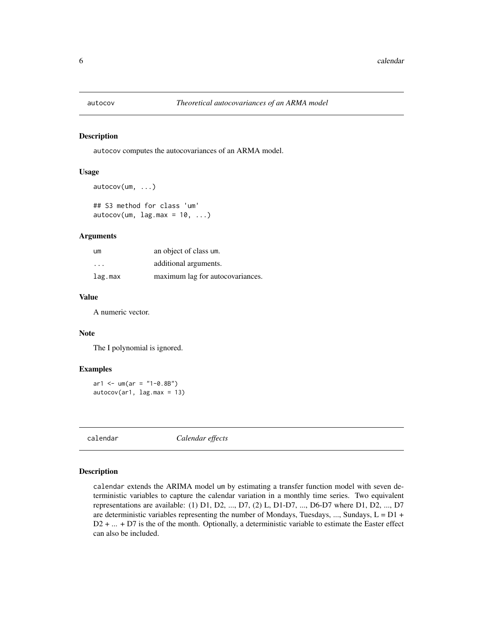<span id="page-5-0"></span>

autocov computes the autocovariances of an ARMA model.

#### Usage

```
autocov(um, ...)
## S3 method for class 'um'
```
 $autocov(num, lag.max = 10, ...)$ 

#### Arguments

| um       | an object of class um.           |
|----------|----------------------------------|
| $\cdots$ | additional arguments.            |
| lag.max  | maximum lag for autocovariances. |

#### Value

A numeric vector.

#### Note

The I polynomial is ignored.

#### Examples

```
ar1 < -um(ar = "1-0.8B")autocov(ar1, lag.max = 13)
```
calendar *Calendar effects*

#### Description

calendar extends the ARIMA model um by estimating a transfer function model with seven deterministic variables to capture the calendar variation in a monthly time series. Two equivalent representations are available: (1) D1, D2, ..., D7, (2) L, D1-D7, ..., D6-D7 where D1, D2, ..., D7 are deterministic variables representing the number of Mondays, Tuesdays, ..., Sundays,  $L = D1 +$ D2 + ... + D7 is the of the month. Optionally, a deterministic variable to estimate the Easter effect can also be included.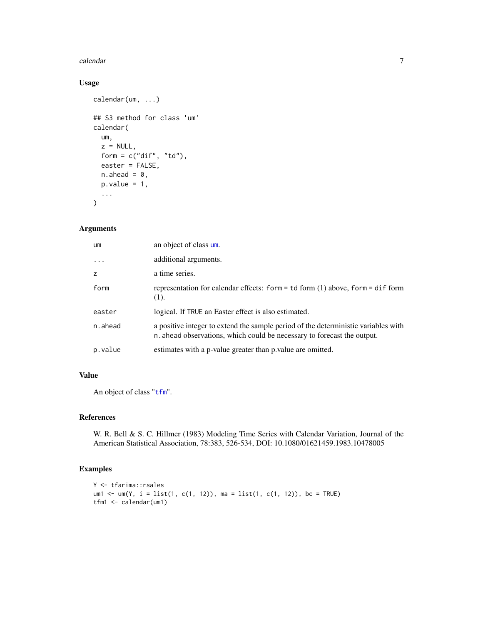#### <span id="page-6-0"></span>calendar 7 and 2008 and 2008 and 2008 and 2008 and 2008 and 2008 and 2008 and 2008 and 2008 and 2008 and 2008 and 2008 and 2008 and 2008 and 2008 and 2008 and 2008 and 2008 and 2008 and 2008 and 2008 and 2008 and 2008 and

#### Usage

```
calendar(um, ...)
## S3 method for class 'um'
calendar(
  um,
 z = NULL,form = c("dif", "td"),
 easter = FALSE,
 n.ahead = 0,
 p.value = 1,
  ...
)
```
#### Arguments

| um         | an object of class um.                                                                                                                                       |
|------------|--------------------------------------------------------------------------------------------------------------------------------------------------------------|
| $\ddots$ . | additional arguments.                                                                                                                                        |
| z          | a time series.                                                                                                                                               |
| form       | representation for calendar effects: form = $td$ form (1) above, form = $di$ f form<br>(1).                                                                  |
| easter     | logical. If TRUE an Easter effect is also estimated.                                                                                                         |
| n.ahead    | a positive integer to extend the sample period of the deterministic variables with<br>n ahead observations, which could be necessary to forecast the output. |
| p.value    | estimates with a p-value greater than p value are omitted.                                                                                                   |

# Value

An object of class "[tfm](#page-39-1)".

#### References

W. R. Bell & S. C. Hillmer (1983) Modeling Time Series with Calendar Variation, Journal of the American Statistical Association, 78:383, 526-534, DOI: 10.1080/01621459.1983.10478005

# Examples

```
Y <- tfarima::rsales
um1 <- um(Y, i = list(1, c(1, 12)), ma = list(1, c(1, 12)), bc = TRUE)
tfm1 <- calendar(um1)
```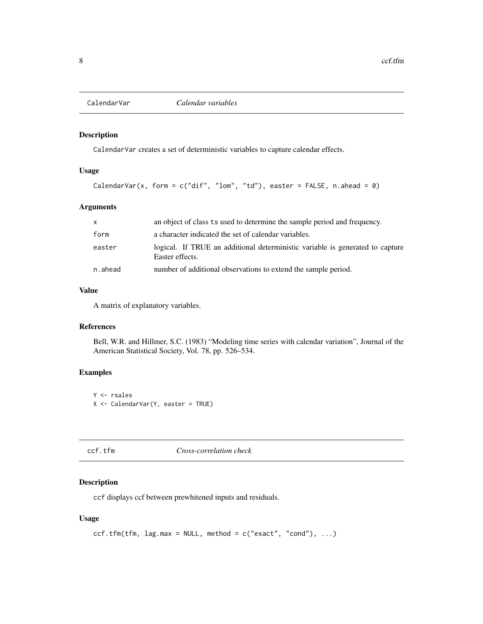<span id="page-7-0"></span>

CalendarVar creates a set of deterministic variables to capture calendar effects.

#### Usage

```
CalendarVar(x, form = c("diff", "lom", "td"), easter = FALSE, n.ahead = 0)
```
#### Arguments

| $\mathsf{x}$ | an object of class ts used to determine the sample period and frequency.                         |
|--------------|--------------------------------------------------------------------------------------------------|
| form         | a character indicated the set of calendar variables.                                             |
| easter       | logical. If TRUE an additional deterministic variable is generated to capture<br>Easter effects. |
| n.ahead      | number of additional observations to extend the sample period.                                   |

# Value

A matrix of explanatory variables.

#### References

Bell, W.R. and Hillmer, S.C. (1983) "Modeling time series with calendar variation", Journal of the American Statistical Society, Vol. 78, pp. 526–534.

#### Examples

Y <- rsales X <- CalendarVar(Y, easter = TRUE)

| ccf. | tfm |  |
|------|-----|--|
|      |     |  |

# $Cross-correlation check$

# Description

ccf displays ccf between prewhitened inputs and residuals.

```
ccf.tfm(tfm, lag.max = NULL, method = c("exact", "cond"), ...)
```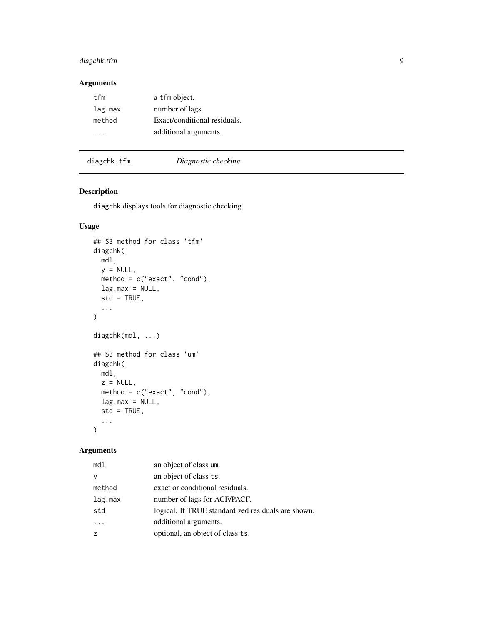# <span id="page-8-0"></span>diagchk.tfm 9

# Arguments

| tfm     | a tfm object.                |
|---------|------------------------------|
| lag.max | number of lags.              |
| method  | Exact/conditional residuals. |
|         | additional arguments.        |
|         |                              |

# diagchk.tfm *Diagnostic checking*

# Description

diagchk displays tools for diagnostic checking.

# Usage

```
## S3 method for class 'tfm'
diagchk(
 mdl,
 y = NULL,method = c("exact", "cond"),lag.max = NULL,std = TRUE,...
)
diagchk(mdl, ...)
## S3 method for class 'um'
diagchk(
 mdl,
 z = NULL,method = c("exact", "cond"),
 lag.max = NULL,std = TRUE,...
)
```
# Arguments

| md1     | an object of class um.                             |
|---------|----------------------------------------------------|
| V       | an object of class ts.                             |
| method  | exact or conditional residuals.                    |
| lag.max | number of lags for ACF/PACF.                       |
| std     | logical. If TRUE standardized residuals are shown. |
|         | additional arguments.                              |
|         | optional, an object of class ts.                   |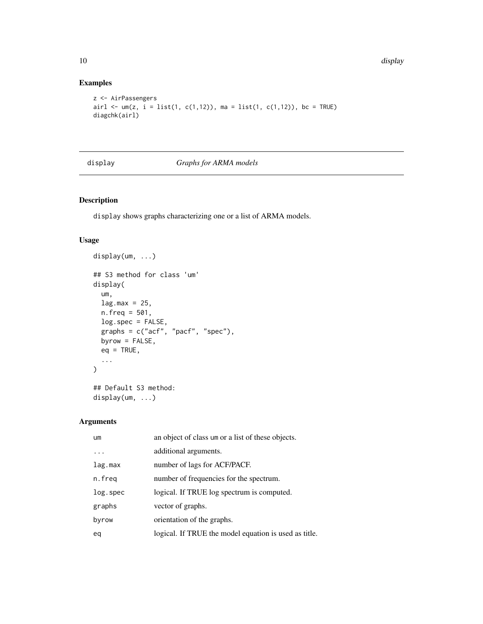# Examples

```
z <- AirPassengers
airl <- um(z, i = list(1, c(1, 12)), ma = list(1, c(1, 12)), bc = TRUE)diagchk(airl)
```
# display *Graphs for ARMA models*

# Description

display shows graphs characterizing one or a list of ARMA models.

# Usage

```
display(um, ...)
## S3 method for class 'um'
display(
 um,
 lag.max = 25,n.freq = 501,
 log.spec = FALSE,
 graphs = c("acf", "pacf", "spec"),
 byrow = FALSE,
 eq = TRUE,...
\mathcal{L}## Default S3 method:
```
display(um, ...)

# Arguments

| um       | an object of class um or a list of these objects.     |
|----------|-------------------------------------------------------|
|          | additional arguments.                                 |
| lag.max  | number of lags for ACF/PACF.                          |
| n.freq   | number of frequencies for the spectrum.               |
| log.spec | logical. If TRUE log spectrum is computed.            |
| graphs   | vector of graphs.                                     |
| byrow    | orientation of the graphs.                            |
| eq       | logical. If TRUE the model equation is used as title. |
|          |                                                       |

<span id="page-9-0"></span>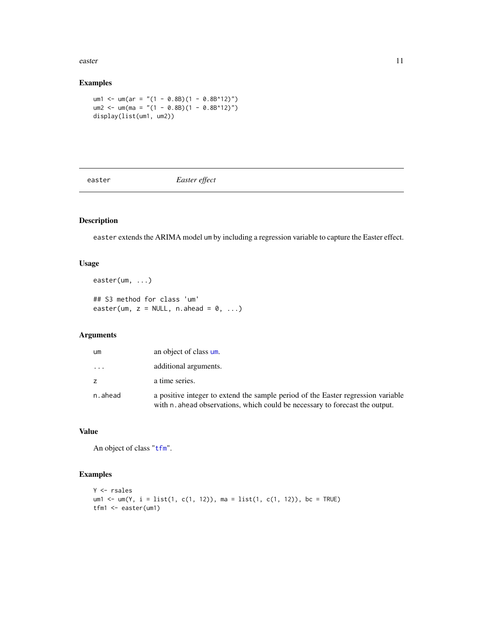<span id="page-10-0"></span>easter the contract of the contract of the contract of the contract of the contract of the contract of the contract of the contract of the contract of the contract of the contract of the contract of the contract of the con

# Examples

```
um1 <- um(ar = "(1 - 0.8B)(1 - 0.8B^12)")
um2 <- um(ma = "(1 - 0.8B)(1 - 0.8B^12)")
display(list(um1, um2))
```
easter *Easter effect*

# Description

easter extends the ARIMA model um by including a regression variable to capture the Easter effect.

#### Usage

```
easter(um, ...)
## S3 method for class 'um'
easter(um, z = NULL, n.ahead = 0, ...)
```
# Arguments

| um             | an object of class um.                                                                                                                                           |
|----------------|------------------------------------------------------------------------------------------------------------------------------------------------------------------|
| .              | additional arguments.                                                                                                                                            |
| $\overline{z}$ | a time series.                                                                                                                                                   |
| n.ahead        | a positive integer to extend the sample period of the Easter regression variable<br>with n. ahead observations, which could be necessary to forecast the output. |

#### Value

An object of class "[tfm](#page-39-1)".

# Examples

```
Y <- rsales
um1 <- um(Y, i = list(1, c(1, 12)), ma = list(1, c(1, 12)), bc = TRUE)
tfm1 <- easter(um1)
```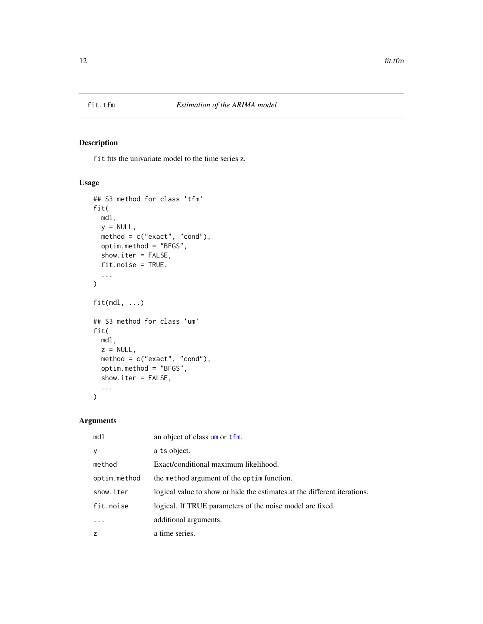<span id="page-11-0"></span>

fit fits the univariate model to the time series z.

#### Usage

```
## S3 method for class 'tfm'
fit(
 mdl,
 y = NULL,method = c("exact", "cond"),
 optim.method = "BFGS",
  show.iter = FALSE,
 fit.noise = TRUE,
  ...
)
fit(mdl, ...)
## S3 method for class 'um'
fit(
 mdl,
 z = NULL,method = c("exact", "cond"),
 optim.method = "BFGS",
  show.iter = FALSE,
  ...
)
```
# Arguments

| md1          | an object of class um or tfm.                                            |
|--------------|--------------------------------------------------------------------------|
| y            | a ts object.                                                             |
| method       | Exact/conditional maximum likelihood.                                    |
| optim.method | the method argument of the optim function.                               |
| show.iter    | logical value to show or hide the estimates at the different iterations. |
| fit.noise    | logical. If TRUE parameters of the noise model are fixed.                |
|              | additional arguments.                                                    |
| Z            | a time series.                                                           |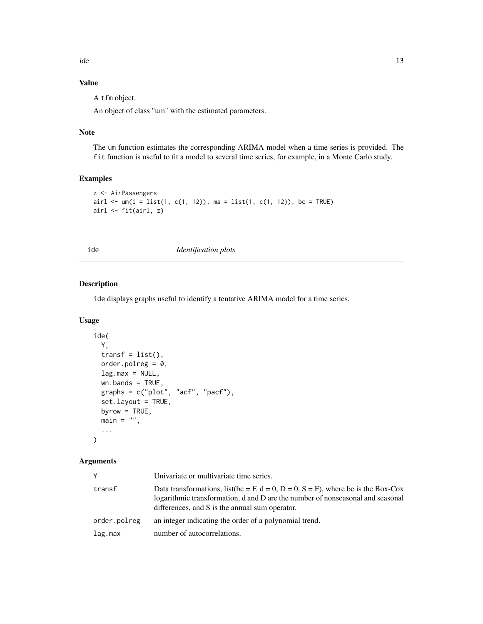<span id="page-12-0"></span>ide 13

# Value

A tfm object.

An object of class "um" with the estimated parameters.

# Note

The um function estimates the corresponding ARIMA model when a time series is provided. The fit function is useful to fit a model to several time series, for example, in a Monte Carlo study.

# Examples

```
z <- AirPassengers
airl \leq - um(i = list(1, c(1, 12)), ma = list(1, c(1, 12)), bc = TRUE)
airl <- fit(airl, z)
```
ide *Identification plots*

# Description

ide displays graphs useful to identify a tentative ARIMA model for a time series.

#### Usage

```
ide(
  Y,
  transf = list(),
 order.polreg = 0,
 lag.max = NULL,wn.bands = TRUE,
 graphs = c("plot", "acf", "pacf"),
  set.layout = TRUE,
 byrow = TRUE,
 main = "",...
)
```
#### Arguments

| Y            | Univariate or multivariate time series.                                                                                                                                                                               |
|--------------|-----------------------------------------------------------------------------------------------------------------------------------------------------------------------------------------------------------------------|
| transf       | Data transformations, list (bc = F, d = 0, D = 0, S = F), where bc is the Box-Cox<br>logarithmic transformation, d and D are the number of nonseasonal and seasonal<br>differences, and S is the annual sum operator. |
| order.polreg | an integer indicating the order of a polynomial trend.                                                                                                                                                                |
| lag.max      | number of autocorrelations.                                                                                                                                                                                           |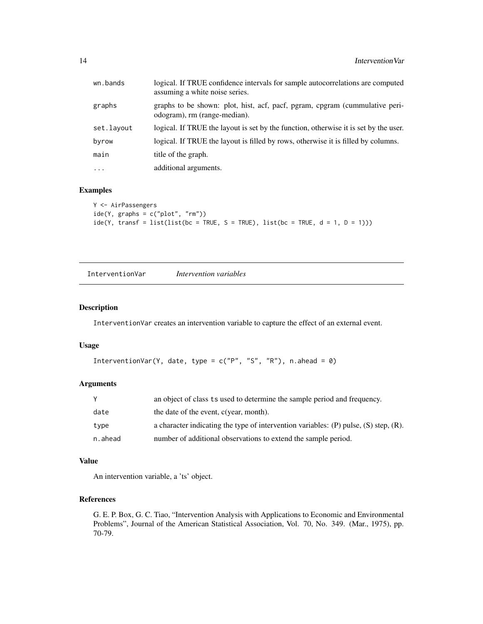<span id="page-13-0"></span>

| wn.bands   | logical. If TRUE confidence intervals for sample autocorrelations are computed<br>assuming a white noise series. |
|------------|------------------------------------------------------------------------------------------------------------------|
| graphs     | graphs to be shown: plot, hist, acf, pacf, pgram, cpgram (cummulative peri-<br>odogram), rm (range-median).      |
| set.layout | logical. If TRUE the layout is set by the function, otherwise it is set by the user.                             |
| byrow      | logical. If TRUE the layout is filled by rows, otherwise it is filled by columns.                                |
| main       | title of the graph.                                                                                              |
| $\cdot$    | additional arguments.                                                                                            |
|            |                                                                                                                  |

# Examples

```
Y <- AirPassengers
ide(Y, graphs = c("plot", "rm")ide(Y, transf = list(list(bc = TRUE, S = TRUE), list(bc = TRUE, d = 1, D = 1)))
```
InterventionVar *Intervention variables*

#### Description

InterventionVar creates an intervention variable to capture the effect of an external event.

#### Usage

```
InterventionVar(Y, date, type = c("P", "S", "R"), n.ahead = 0)
```
### Arguments

|         | an object of class ts used to determine the sample period and frequency.                    |
|---------|---------------------------------------------------------------------------------------------|
| date    | the date of the event, c(year, month).                                                      |
| type    | a character indicating the type of intervention variables: $(P)$ pulse, $(S)$ step, $(R)$ . |
| n.ahead | number of additional observations to extend the sample period.                              |

#### Value

An intervention variable, a 'ts' object.

#### References

G. E. P. Box, G. C. Tiao, "Intervention Analysis with Applications to Economic and Environmental Problems", Journal of the American Statistical Association, Vol. 70, No. 349. (Mar., 1975), pp. 70-79.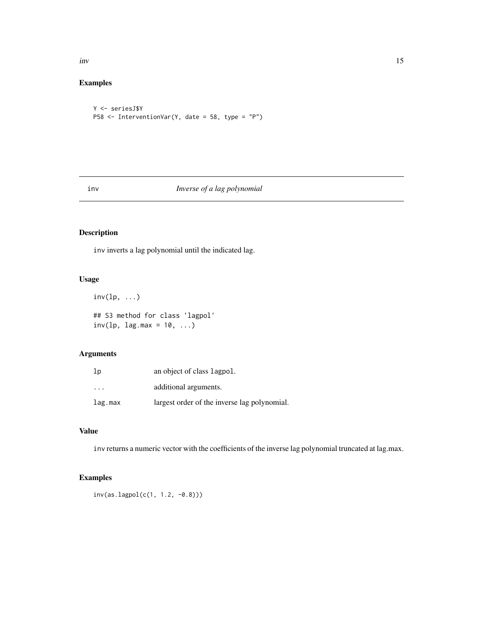<span id="page-14-0"></span>inv 15

# Examples

```
Y <- seriesJ$Y
P58 <- InterventionVar(Y, date = 58, type = "P")
```
# inv *Inverse of a lag polynomial*

# Description

inv inverts a lag polynomial until the indicated lag.

# Usage

```
inv(lp, \ldots)## S3 method for class 'lagpol'
inv(1p, 1ag.max = 10, ...)
```
# Arguments

| 1p                      | an object of class lagpol.                   |
|-------------------------|----------------------------------------------|
| $\cdot$ $\cdot$ $\cdot$ | additional arguments.                        |
| lag.max                 | largest order of the inverse lag polynomial. |

# Value

inv returns a numeric vector with the coefficients of the inverse lag polynomial truncated at lag.max.

# Examples

```
inv(as.lagpol(c(1, 1.2, -0.8)))
```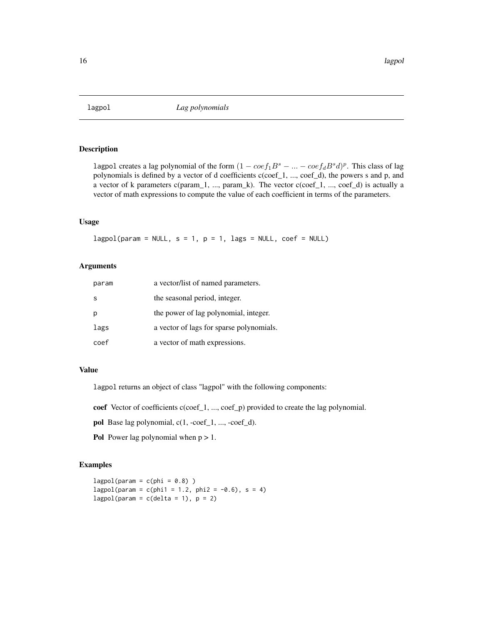<span id="page-15-0"></span>

lagpol creates a lag polynomial of the form  $(1 - \cos f_1 B^s - \dots - \cos f_d B^s d)^p$ . This class of lag polynomials is defined by a vector of d coefficients c(coef\_1, ..., coef\_d), the powers s and p, and a vector of k parameters c(param\_1, ..., param\_k). The vector c(coef\_1, ..., coef\_d) is actually a vector of math expressions to compute the value of each coefficient in terms of the parameters.

# Usage

 $lagpol(param = NULL, s = 1, p = 1, lags = NULL, coef = NULL)$ 

#### Arguments

| param | a vector/list of named parameters.       |
|-------|------------------------------------------|
| -S    | the seasonal period, integer.            |
| p     | the power of lag polynomial, integer.    |
| lags  | a vector of lags for sparse polynomials. |
| coef  | a vector of math expressions.            |

#### Value

lagpol returns an object of class "lagpol" with the following components:

coef Vector of coefficients c(coef\_1, ..., coef\_p) provided to create the lag polynomial.

- pol Base lag polynomial, c(1, -coef\_1, ..., -coef\_d).
- Pol Power lag polynomial when  $p > 1$ .

# Examples

 $lagpol(param = c(phi = 0.8)$ )  $lagpol(param = c(phi1 = 1.2, phi2 = -0.6), s = 4)$ lagpol(param =  $c$ (delta = 1),  $p = 2$ )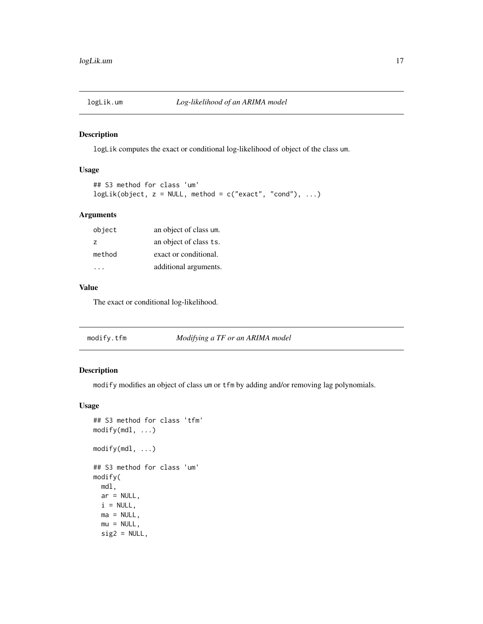<span id="page-16-0"></span>

logLik computes the exact or conditional log-likelihood of object of the class um.

# Usage

```
## S3 method for class 'um'
logLik(object, z = NULL, method = c("exact", "cond"), ...)
```
# Arguments

| object         | an object of class um. |
|----------------|------------------------|
| $\overline{z}$ | an object of class ts. |
| method         | exact or conditional.  |
|                | additional arguments.  |

#### Value

The exact or conditional log-likelihood.

| modify.tfm | Modifying a TF or an ARIMA model |  |
|------------|----------------------------------|--|
|------------|----------------------------------|--|

# Description

modify modifies an object of class um or tfm by adding and/or removing lag polynomials.

```
## S3 method for class 'tfm'
modify(mdl, ...)
modify(mdl, ...)
## S3 method for class 'um'
modify(
 mdl,
 ar = NULL,i = NULL,ma = NULL,mu = NULL,sig2 = NULL,
```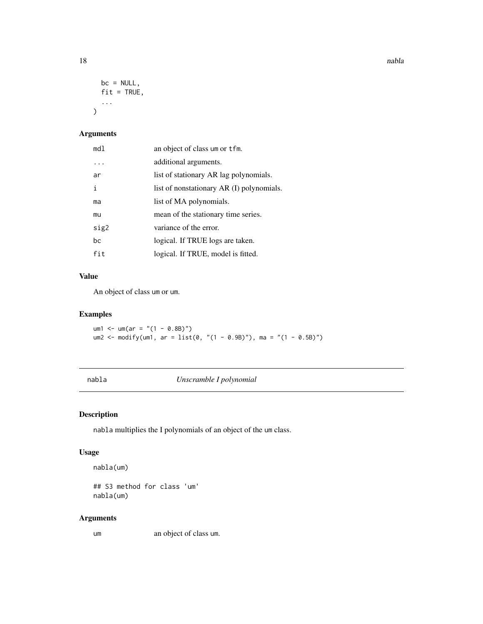18 nable

```
bc = NULL,fit = TRUE,...
\mathcal{L}
```
# Arguments

| md1  | an object of class um or tfm.             |
|------|-------------------------------------------|
|      | additional arguments.                     |
| ar   | list of stationary AR lag polynomials.    |
| i    | list of nonstationary AR (I) polynomials. |
| ma   | list of MA polynomials.                   |
| mu   | mean of the stationary time series.       |
| sig2 | variance of the error.                    |
| bc   | logical. If TRUE logs are taken.          |
| fit  | logical. If TRUE, model is fitted.        |

#### Value

An object of class um or um.

# Examples

um1 <- um(ar = "(1 - 0.8B)") um2 <- modify(um1, ar = list(0, "(1 - 0.9B)"), ma = "(1 - 0.5B)")

nabla *Unscramble I polynomial*

# Description

nabla multiplies the I polynomials of an object of the um class.

## Usage

nabla(um)

## S3 method for class 'um' nabla(um)

# Arguments

um an object of class um.

<span id="page-17-0"></span>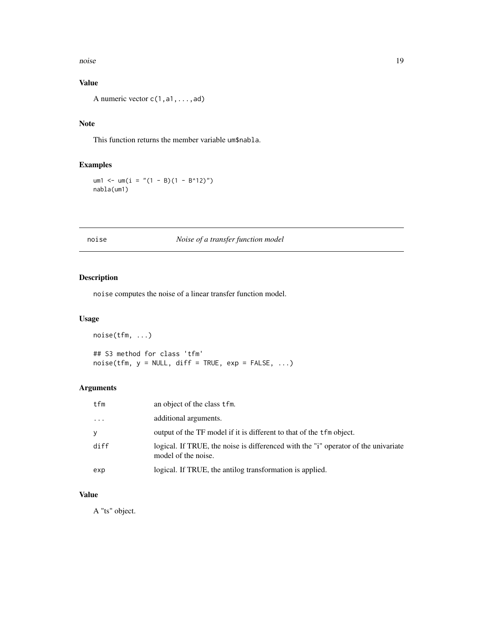<span id="page-18-0"></span>noise and the set of the set of the set of the set of the set of the set of the set of the set of the set of the set of the set of the set of the set of the set of the set of the set of the set of the set of the set of the

# Value

A numeric vector c(1,a1,...,ad)

# Note

This function returns the member variable um\$nabla.

# Examples

um1 <- um(i = "(1 - B)(1 - B^12)") nabla(um1)

# noise *Noise of a transfer function model*

# Description

noise computes the noise of a linear transfer function model.

# Usage

noise(tfm, ...) ## S3 method for class 'tfm'  $noise(tfm, y = NULL, diff = TRUE, exp = FALSE, ...)$ 

# Arguments

| tfm     | an object of the class tfm.                                                                               |
|---------|-----------------------------------------------------------------------------------------------------------|
| $\cdot$ | additional arguments.                                                                                     |
| У       | output of the TF model if it is different to that of the tfm object.                                      |
| diff    | logical. If TRUE, the noise is differenced with the "i" operator of the univariate<br>model of the noise. |
| exp     | logical. If TRUE, the antilog transformation is applied.                                                  |

# Value

A "ts" object.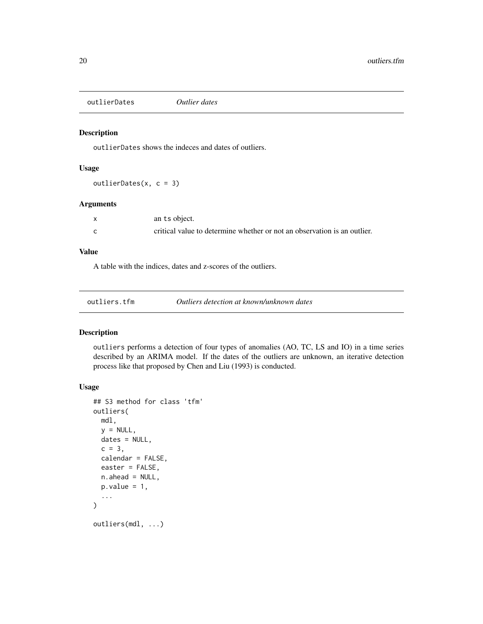<span id="page-19-0"></span>outlierDates *Outlier dates*

#### Description

outlierDates shows the indeces and dates of outliers.

#### Usage

outlierDates(x, c = 3)

# Arguments

| an ts object.                                                            |
|--------------------------------------------------------------------------|
| critical value to determine whether or not an observation is an outlier. |

#### Value

A table with the indices, dates and z-scores of the outliers.

#### Description

outliers performs a detection of four types of anomalies (AO, TC, LS and IO) in a time series described by an ARIMA model. If the dates of the outliers are unknown, an iterative detection process like that proposed by Chen and Liu (1993) is conducted.

```
## S3 method for class 'tfm'
outliers(
 mdl,
 y = NULL,
  dates = NULL,
  c = 3,
  calendar = FALSE,
  easter = FALSE,
 n.ahead = NULL,
  p.value = 1,
  ...
\mathcal{L}outliers(mdl, ...)
```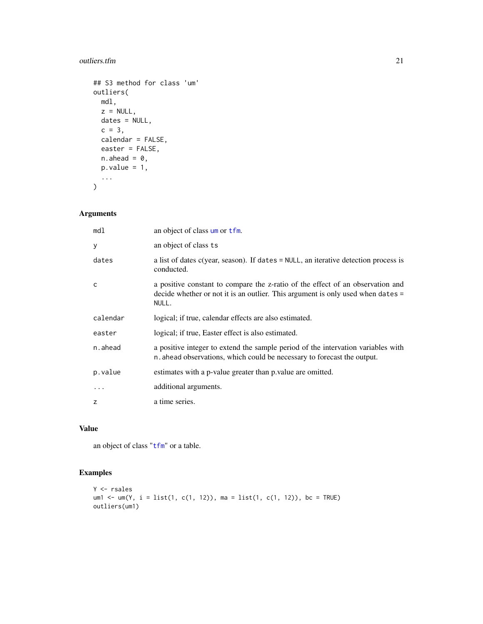#### <span id="page-20-0"></span>outliers.tfm 21

```
## S3 method for class 'um'
outliers(
  mdl,
  z = NULL,dates = NULL,
  c = 3,calendar = FALSE,
  easter = FALSE,
  n.ahead = 0,
  p.value = 1,
  ...
\mathcal{L}
```
# Arguments

| md1      | an object of class um or tfm.                                                                                                                                              |
|----------|----------------------------------------------------------------------------------------------------------------------------------------------------------------------------|
| y        | an object of class ts                                                                                                                                                      |
| dates    | a list of dates $c$ (year, season). If dates $=$ NULL, an iterative detection process is<br>conducted.                                                                     |
| C        | a positive constant to compare the z-ratio of the effect of an observation and<br>decide whether or not it is an outlier. This argument is only used when dates =<br>NULL. |
| calendar | logical; if true, calendar effects are also estimated.                                                                                                                     |
| easter   | logical; if true, Easter effect is also estimated.                                                                                                                         |
| n.ahead  | a positive integer to extend the sample period of the intervation variables with<br>n ahead observations, which could be necessary to forecast the output.                 |
| p.value  | estimates with a p-value greater than p value are omitted.                                                                                                                 |
|          | additional arguments.                                                                                                                                                      |
| z        | a time series.                                                                                                                                                             |

# Value

an object of class "[tfm](#page-39-1)" or a table.

# Examples

```
Y <- rsales
um1 <- um(Y, i = list(1, c(1, 12)), ma = list(1, c(1, 12)), bc = TRUE)
outliers(um1)
```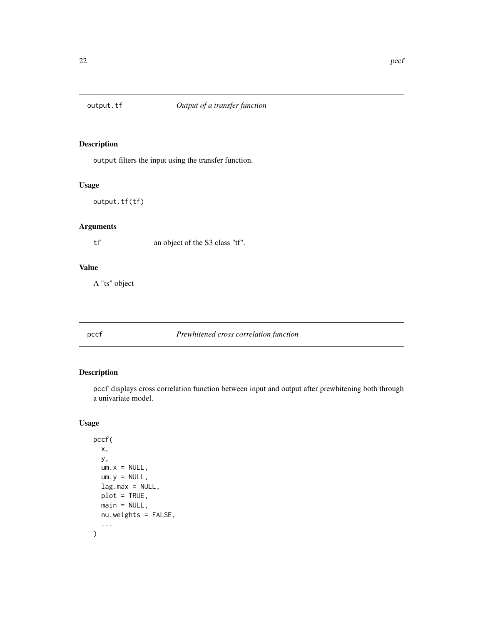<span id="page-21-0"></span>

output filters the input using the transfer function.

#### Usage

output.tf(tf)

# Arguments

tf an object of the S3 class "tf".

#### Value

A "ts" object

#### pccf *Prewhitened cross correlation function*

# Description

pccf displays cross correlation function between input and output after prewhitening both through a univariate model.

```
pccf(
 x,
 y,
 um.x = NULL,um.y = NULL,lag.max = NULL,plot = TRUE,
 main = NULL,nu.weights = FALSE,
  ...
)
```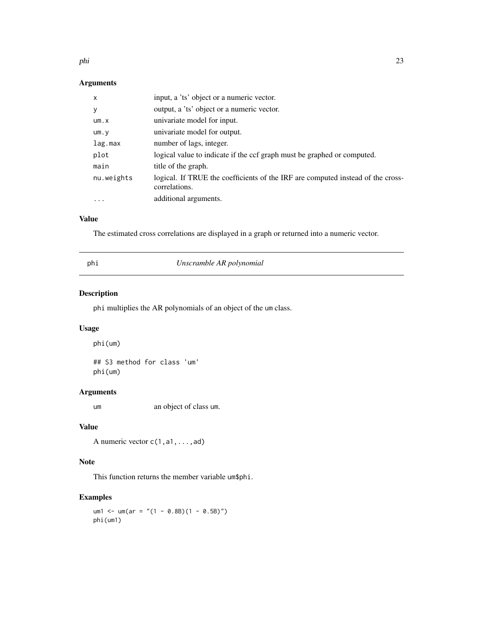<span id="page-22-0"></span>phi 23

#### Arguments

| $\mathsf{x}$ | input, a 'ts' object or a numeric vector.                                                        |
|--------------|--------------------------------------------------------------------------------------------------|
| У            | output, a 'ts' object or a numeric vector.                                                       |
| um.x         | univariate model for input.                                                                      |
| um. v        | univariate model for output.                                                                     |
| lag.max      | number of lags, integer.                                                                         |
| plot         | logical value to indicate if the ccf graph must be graphed or computed.                          |
| main         | title of the graph.                                                                              |
| nu.weights   | logical. If TRUE the coefficients of the IRF are computed instead of the cross-<br>correlations. |
| .            | additional arguments.                                                                            |

#### Value

The estimated cross correlations are displayed in a graph or returned into a numeric vector.

# phi *Unscramble AR polynomial*

# Description

phi multiplies the AR polynomials of an object of the um class.

#### Usage

phi(um)

## S3 method for class 'um' phi(um)

# Arguments

um an object of class um.

#### Value

A numeric vector c(1,a1,...,ad)

#### Note

This function returns the member variable um\$phi.

# Examples

um1 <- um(ar = "(1 - 0.8B)(1 - 0.5B)") phi(um1)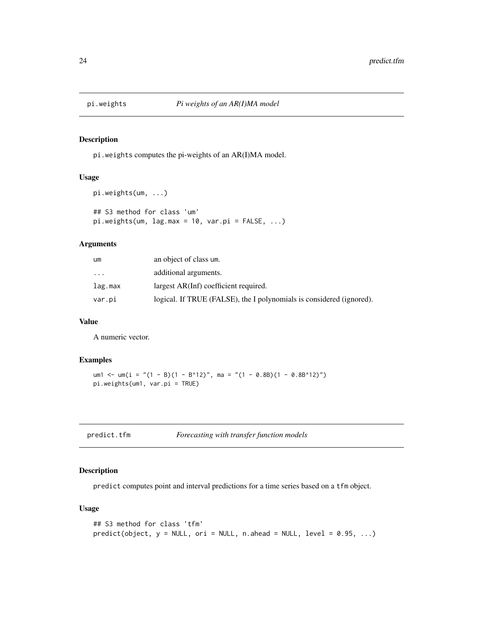<span id="page-23-0"></span>

pi.weights computes the pi-weights of an AR(I)MA model.

#### Usage

```
pi.weights(um, ...)
## S3 method for class 'um'
pi.weights(um, lag.max = 10, var.pi = FALSE, ...)
```
# Arguments

| um        | an object of class um.                                               |
|-----------|----------------------------------------------------------------------|
| $\ddotsc$ | additional arguments.                                                |
| lag.max   | largest AR(Inf) coefficient required.                                |
| var.pi    | logical. If TRUE (FALSE), the I polynomials is considered (ignored). |

# Value

A numeric vector.

#### Examples

```
um1 <- um(i = "(1 - B)(1 - B^12)", ma = "(1 - 0.8B)(1 - 0.8B^12)")
pi.weights(um1, var.pi = TRUE)
```

| predict.tfm | Forecasting with transfer function models |
|-------------|-------------------------------------------|
|-------------|-------------------------------------------|

# Description

predict computes point and interval predictions for a time series based on a tfm object.

```
## S3 method for class 'tfm'
predict(object, y = NULL, ori = NULL, n. ahead = NULL, level = 0.95, ...)
```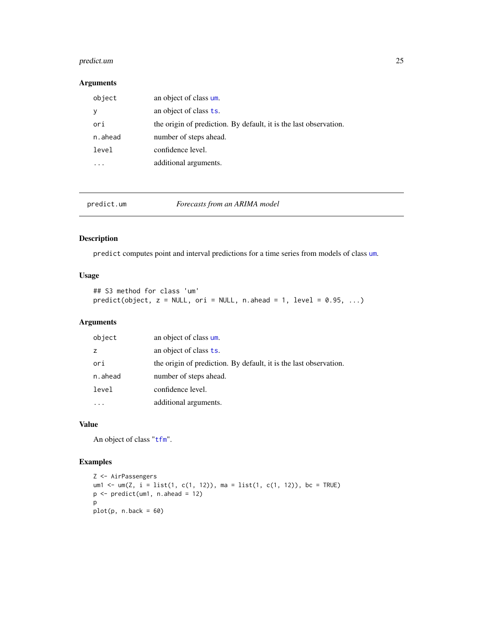# <span id="page-24-0"></span>predict.um 25

#### Arguments

| object  | an object of class um.                                            |
|---------|-------------------------------------------------------------------|
|         | an object of class ts.                                            |
| ori     | the origin of prediction. By default, it is the last observation. |
| n.ahead | number of steps ahead.                                            |
| level   | confidence level.                                                 |
|         | additional arguments.                                             |

predict.um *Forecasts from an ARIMA model*

# Description

predict computes point and interval predictions for a time series from models of class [um](#page-42-1).

# Usage

```
## S3 method for class 'um'
predict(object, z = NULL, ori = NULL, n. ahead = 1, level = 0.95, ...)
```
# Arguments

| object  | an object of class um.                                            |
|---------|-------------------------------------------------------------------|
| z       | an object of class ts.                                            |
| ori     | the origin of prediction. By default, it is the last observation. |
| n.ahead | number of steps ahead.                                            |
| level   | confidence level.                                                 |
|         | additional arguments.                                             |

# Value

An object of class "[tfm](#page-39-1)".

# Examples

```
Z <- AirPassengers
um1 <- um(Z, i = list(1, c(1, 12)), ma = list(1, c(1, 12)), bc = TRUE)
p <- predict(um1, n.ahead = 12)
p
plot(p, n.back = 60)
```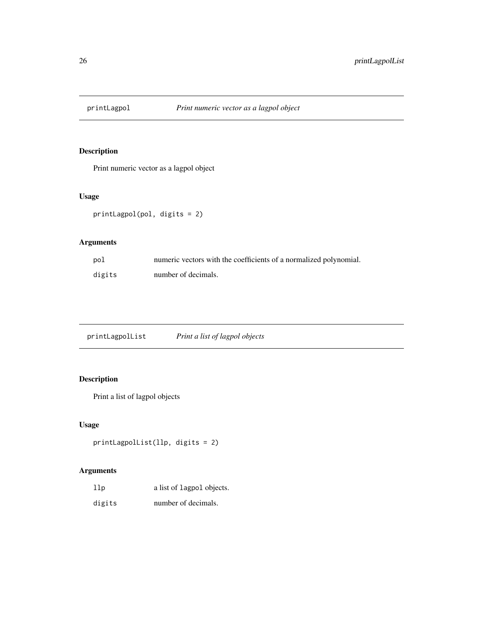<span id="page-25-0"></span>

Print numeric vector as a lagpol object

# Usage

printLagpol(pol, digits = 2)

# Arguments

| pol    | numeric vectors with the coefficients of a normalized polynomial. |
|--------|-------------------------------------------------------------------|
| digits | number of decimals.                                               |

printLagpolList *Print a list of lagpol objects*

# Description

Print a list of lagpol objects

# Usage

```
printLagpolList(llp, digits = 2)
```
# Arguments

| 11p    | a list of lagpol objects. |
|--------|---------------------------|
| digits | number of decimals.       |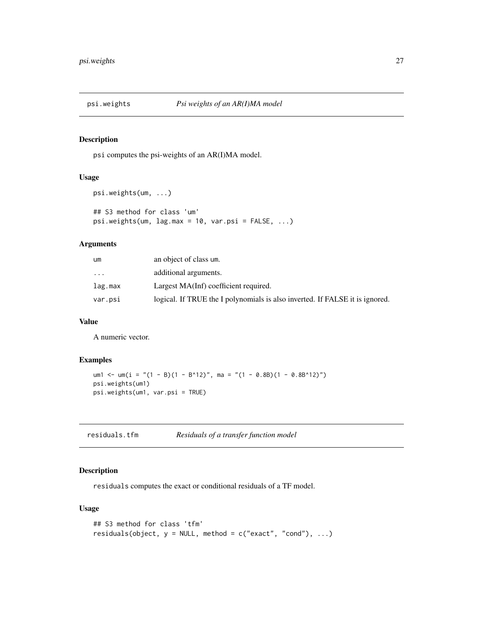<span id="page-26-0"></span>

psi computes the psi-weights of an AR(I)MA model.

#### Usage

```
psi.weights(um, ...)
## S3 method for class 'um'
psi.weights(um, lag.max = 10, var.psi = FALSE, ...)
```
# Arguments

| um        | an object of class um.                                                       |
|-----------|------------------------------------------------------------------------------|
| $\ddotsc$ | additional arguments.                                                        |
| lag.max   | Largest MA(Inf) coefficient required.                                        |
| var.psi   | logical. If TRUE the I polynomials is also inverted. If FALSE it is ignored. |

# Value

A numeric vector.

#### Examples

```
um1 <- um(i = "(1 - B)(1 - B^12)", ma = "(1 - 0.8B)(1 - 0.8B^12)")
psi.weights(um1)
psi.weights(um1, var.psi = TRUE)
```
residuals.tfm *Residuals of a transfer function model*

#### Description

residuals computes the exact or conditional residuals of a TF model.

```
## S3 method for class 'tfm'
residuals(object, y = NULL, method = c("exact", "cond"), ...)
```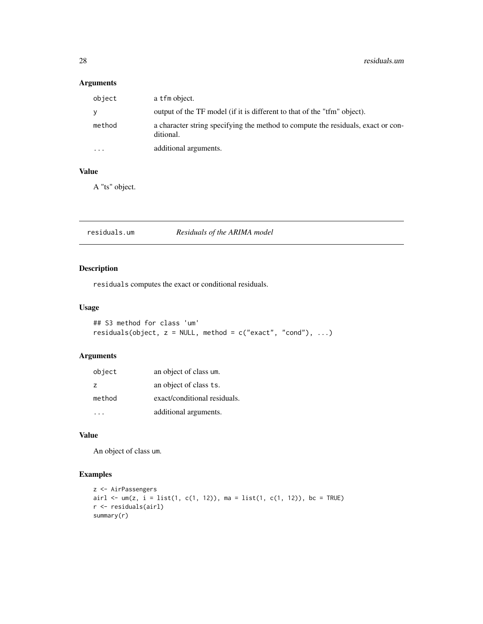# Arguments

| object   | a tfm object.                                                                                 |
|----------|-----------------------------------------------------------------------------------------------|
| <b>V</b> | output of the TF model (if it is different to that of the "tfm" object).                      |
| method   | a character string specifying the method to compute the residuals, exact or con-<br>ditional. |
| $\cdots$ | additional arguments.                                                                         |

# Value

A "ts" object.

residuals.um *Residuals of the ARIMA model*

# Description

residuals computes the exact or conditional residuals.

# Usage

```
## S3 method for class 'um'
residuals(object, z = NULL, method = c("exact", "cond"), ...)
```
# Arguments

| object         | an object of class um.       |
|----------------|------------------------------|
| $\overline{z}$ | an object of class ts.       |
| method         | exact/conditional residuals. |
|                | additional arguments.        |

# Value

An object of class um.

# Examples

```
z <- AirPassengers
airl <- um(z, i = list(1, c(1, 12)), ma = list(1, c(1, 12)), bc = TRUE)r <- residuals(airl)
summary(r)
```
<span id="page-27-0"></span>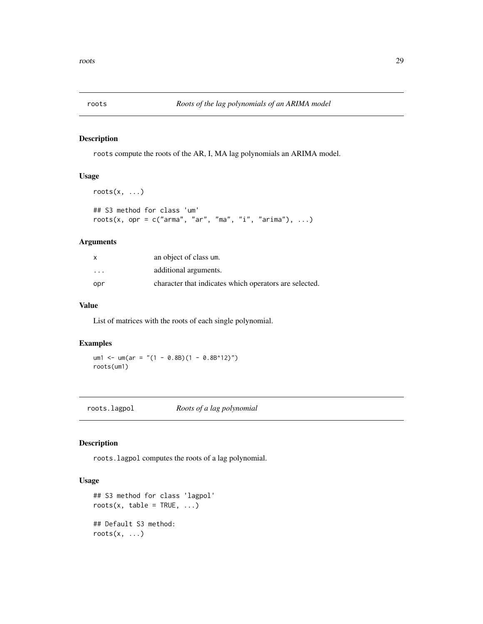<span id="page-28-0"></span>

roots compute the roots of the AR, I, MA lag polynomials an ARIMA model.

#### Usage

```
roots(x, \ldots)## S3 method for class 'um'
roots(x, opr = c("arma", "ar", "ma", "i", "arima"), ...)
```
# Arguments

| x        | an object of class um.                                 |
|----------|--------------------------------------------------------|
| $\cdots$ | additional arguments.                                  |
| opr      | character that indicates which operators are selected. |

#### Value

List of matrices with the roots of each single polynomial.

#### Examples

um1 <- um(ar = "(1 - 0.8B)(1 - 0.8B^12)") roots(um1)

roots.lagpol *Roots of a lag polynomial*

#### Description

roots.lagpol computes the roots of a lag polynomial.

```
## S3 method for class 'lagpol'
roots(x, table = TRUE, \dots)
## Default S3 method:
roots(x, \ldots)
```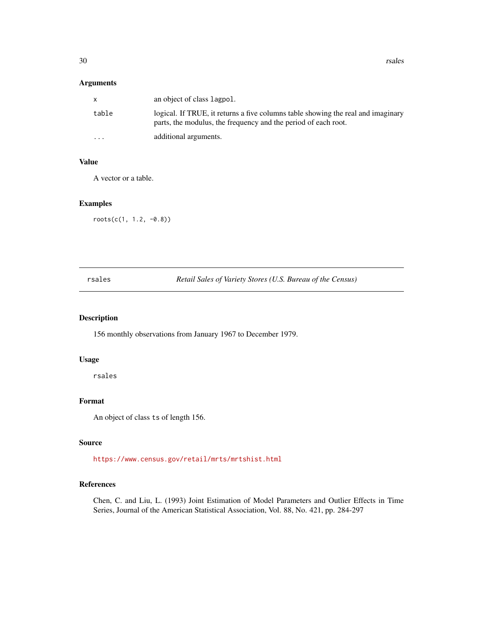<span id="page-29-0"></span>30 rsales

#### Arguments

| X        | an object of class lagpol.                                                                                                                         |
|----------|----------------------------------------------------------------------------------------------------------------------------------------------------|
| table    | logical. If TRUE, it returns a five columns table showing the real and imaginary<br>parts, the modulus, the frequency and the period of each root. |
| $\cdots$ | additional arguments.                                                                                                                              |

#### Value

A vector or a table.

# Examples

roots(c(1, 1.2, -0.8))

| ×<br>٠ |  |
|--------|--|

Retail Sales of Variety Stores (U.S. Bureau of the Census)

# Description

156 monthly observations from January 1967 to December 1979.

#### Usage

rsales

# Format

An object of class ts of length 156.

#### Source

<https://www.census.gov/retail/mrts/mrtshist.html>

#### References

Chen, C. and Liu, L. (1993) Joint Estimation of Model Parameters and Outlier Effects in Time Series, Journal of the American Statistical Association, Vol. 88, No. 421, pp. 284-297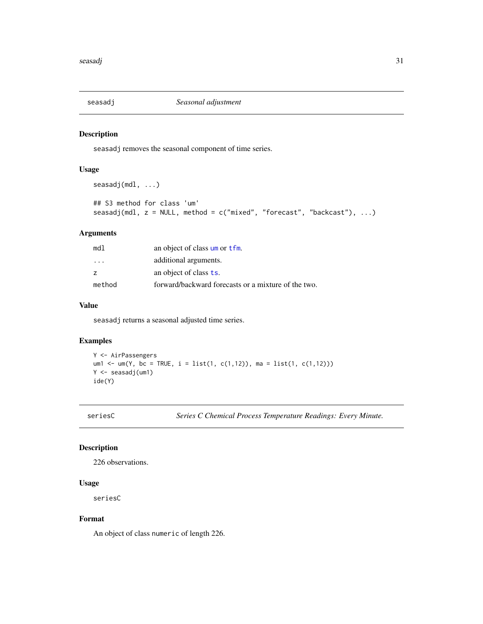<span id="page-30-0"></span>

seasadj removes the seasonal component of time series.

### Usage

```
seasadj(mdl, ...)
## S3 method for class 'um'
seasadj(mdl, z = NULL, method = c("mixed", "forecast", "backcast"), ...)
```
# Arguments

| mdl                     | an object of class um or tfm.                       |
|-------------------------|-----------------------------------------------------|
| $\cdot$ $\cdot$ $\cdot$ | additional arguments.                               |
| z                       | an object of class <b>ts</b> .                      |
| method                  | forward/backward forecasts or a mixture of the two. |

#### Value

seasadj returns a seasonal adjusted time series.

#### Examples

```
Y <- AirPassengers
um1 <- um(Y, bc = TRUE, i = list(1, c(1,12)), ma = list(1, c(1,12)))
Y <- seasadj(um1)
ide(Y)
```
seriesC *Series C Chemical Process Temperature Readings: Every Minute.*

# Description

226 observations.

# Usage

seriesC

#### Format

An object of class numeric of length 226.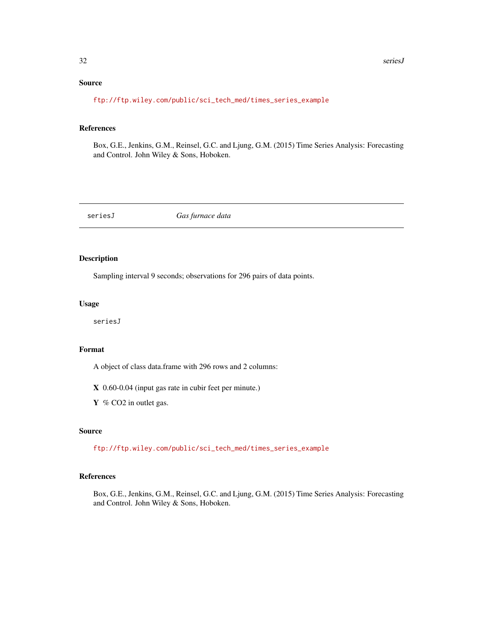# <span id="page-31-0"></span>Source

[ftp://ftp.wiley.com/public/sci\\_tech\\_med/times\\_series\\_example](ftp://ftp.wiley.com/public/sci_tech_med/times_series_example)

#### References

Box, G.E., Jenkins, G.M., Reinsel, G.C. and Ljung, G.M. (2015) Time Series Analysis: Forecasting and Control. John Wiley & Sons, Hoboken.

seriesJ *Gas furnace data*

#### Description

Sampling interval 9 seconds; observations for 296 pairs of data points.

#### Usage

seriesJ

#### Format

A object of class data.frame with 296 rows and 2 columns:

X 0.60-0.04 (input gas rate in cubir feet per minute.)

Y % CO2 in outlet gas.

#### Source

[ftp://ftp.wiley.com/public/sci\\_tech\\_med/times\\_series\\_example](ftp://ftp.wiley.com/public/sci_tech_med/times_series_example)

#### References

Box, G.E., Jenkins, G.M., Reinsel, G.C. and Ljung, G.M. (2015) Time Series Analysis: Forecasting and Control. John Wiley & Sons, Hoboken.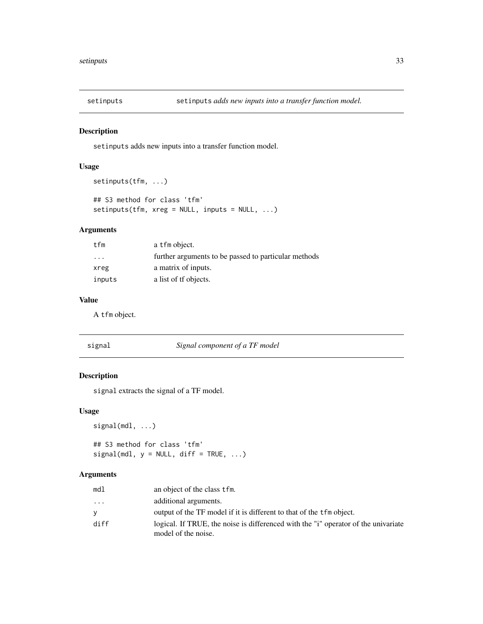<span id="page-32-0"></span>

setinputs adds new inputs into a transfer function model.

#### Usage

```
setinputs(tfm, ...)
## S3 method for class 'tfm'
setinputs(tfm, xreg = NULL, inputs = NULL, ...)
```
# Arguments

| tfm               | a tfm object.                                        |
|-------------------|------------------------------------------------------|
| $\cdot\cdot\cdot$ | further arguments to be passed to particular methods |
| xreg              | a matrix of inputs.                                  |
| inputs            | a list of the objects.                               |

#### Value

A tfm object.

| σ |     |
|---|-----|
| r | 161 |
|   |     |

#### signal *Signal component of a TF model*

# Description

signal extracts the signal of a TF model.

#### Usage

```
signal(mdl, ...)
```

```
## S3 method for class 'tfm'
signal(mdl, y = NULL, diff = TRUE, ...)
```
# Arguments

| md1      | an object of the class tfm.                                                                               |
|----------|-----------------------------------------------------------------------------------------------------------|
| $\cdots$ | additional arguments.                                                                                     |
| У        | output of the TF model if it is different to that of the tfm object.                                      |
| diff     | logical. If TRUE, the noise is differenced with the "i" operator of the univariate<br>model of the noise. |
|          |                                                                                                           |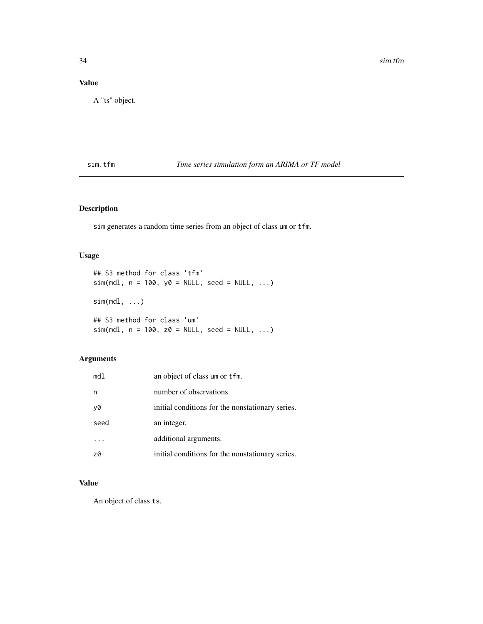# <span id="page-33-0"></span>Value

A "ts" object.

sim.tfm *Time series simulation form an ARIMA or TF model*

# Description

sim generates a random time series from an object of class um or tfm.

# Usage

```
## S3 method for class 'tfm'
sim(md1, n = 100, y0 = NULL, seed = NULL, ...)sim(mdl, \ldots)## S3 method for class 'um'
sim(md1, n = 100, z0 = NULL, seed = NULL, ...)
```
# Arguments

| md1  | an object of class um or tfm.                    |
|------|--------------------------------------------------|
| n    | number of observations.                          |
| y0   | initial conditions for the nonstationary series. |
| seed | an integer.                                      |
|      | additional arguments.                            |
| z0   | initial conditions for the nonstationary series. |

# Value

An object of class ts.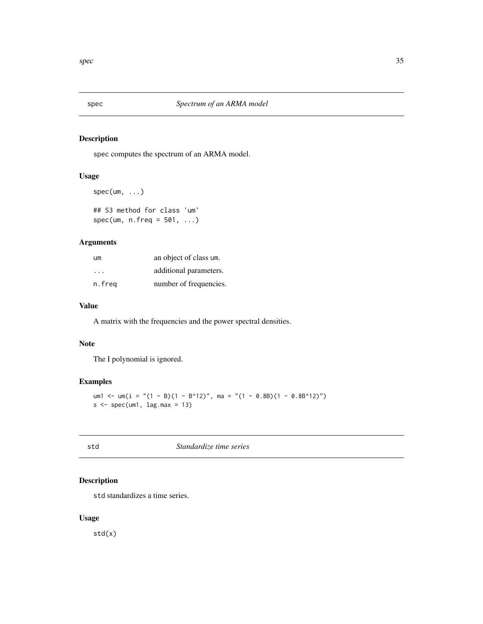<span id="page-34-0"></span>

spec computes the spectrum of an ARMA model.

#### Usage

```
spec(um, ...)
```

```
## S3 method for class 'um'
spec(num, n.freq = 501, ...)
```
# Arguments

| um     | an object of class um. |
|--------|------------------------|
| .      | additional parameters. |
| n.freg | number of frequencies. |

#### Value

A matrix with the frequencies and the power spectral densities.

#### Note

The I polynomial is ignored.

# Examples

```
um1 <- um(i = "(1 - B)(1 - B^12)", ma = "(1 - 0.8B)(1 - 0.8B^12)")
s \leq spec(um1, lag.max = 13)
```

|             | o      |  |
|-------------|--------|--|
| ×           |        |  |
| I<br>$\sim$ | $\sim$ |  |
|             |        |  |

std *Standardize time series*

# Description

std standardizes a time series.

#### Usage

std(x)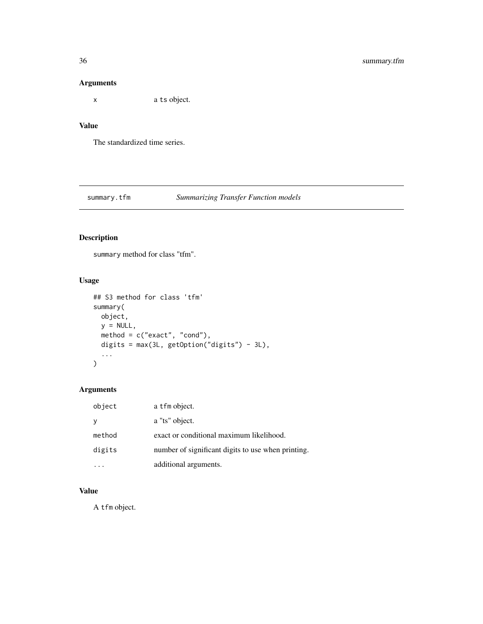# <span id="page-35-0"></span>Arguments

x a ts object.

# Value

The standardized time series.

# summary.tfm *Summarizing Transfer Function models*

# Description

summary method for class "tfm".

# Usage

```
## S3 method for class 'tfm'
summary(
 object,
 y = NULL,method = c("exact", "cond"),
 digits = max(3L, getOption("digits") - 3L),
  ...
)
```
# Arguments

| object   | a tfm object.                                      |
|----------|----------------------------------------------------|
| <b>V</b> | a "ts" object.                                     |
| method   | exact or conditional maximum likelihood.           |
| digits   | number of significant digits to use when printing. |
|          | additional arguments.                              |

### Value

A tfm object.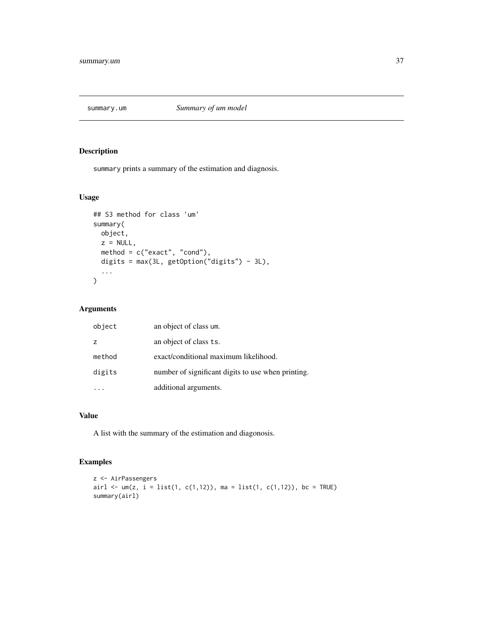<span id="page-36-0"></span>

summary prints a summary of the estimation and diagnosis.

#### Usage

```
## S3 method for class 'um'
summary(
 object,
 z = NULL,method = c("exact", "cond"),
 digits = max(3L, getOption("digits") - 3L),
  ...
)
```
#### Arguments

| object         | an object of class um.                             |
|----------------|----------------------------------------------------|
| $\overline{z}$ | an object of class ts.                             |
| method         | exact/conditional maximum likelihood.              |
| digits         | number of significant digits to use when printing. |
|                | additional arguments.                              |

# Value

A list with the summary of the estimation and diagonosis.

# Examples

```
z <- AirPassengers
airl <- um(z, i = list(1, c(1,12)), ma = list(1, c(1,12)), bc = TRUE)
summary(airl)
```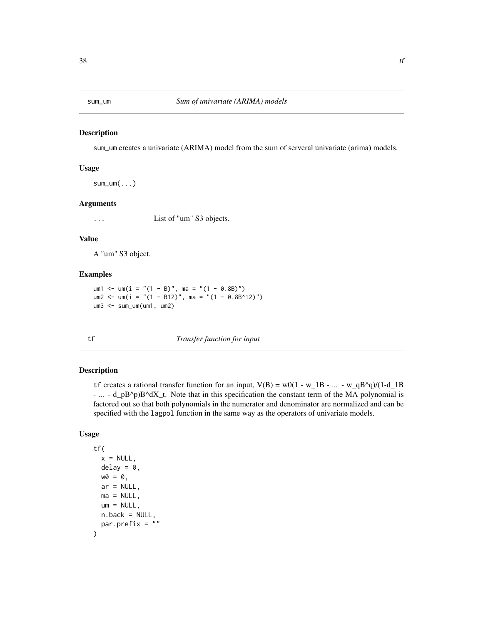<span id="page-37-0"></span>

sum\_um creates a univariate (ARIMA) model from the sum of serveral univariate (arima) models.

#### Usage

 $sum\_um($ ...)

# Arguments

... List of "um" S3 objects.

#### Value

A "um" S3 object.

#### Examples

```
um1 <- um(i = "(1 - B)", ma = "(1 - 0.8B)")
um2 <- um(i = "(1 - B12)", ma = "(1 - 0.8B^12)")
um3 <- sum_um(um1, um2)
```
<span id="page-37-1"></span>

tf *Transfer function for input*

#### Description

tf creates a rational transfer function for an input,  $V(B) = w0(1 - w_1B - ... - w_qB^q)/(1-d_1B)$ - ... - d\_pB^p)B^dX\_t. Note that in this specification the constant term of the MA polynomial is factored out so that both polynomials in the numerator and denominator are normalized and can be specified with the lagpol function in the same way as the operators of univariate models.

```
tf(
  x = NULL,delay = 0,
  w0 = 0,
  ar = NULL,
  ma = NULL,um = NULL,n.back = NULL,
  par.prefix = ""
\mathcal{E}
```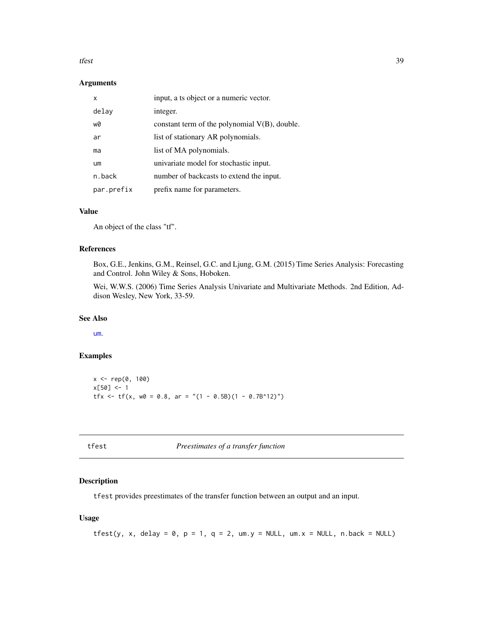#### <span id="page-38-0"></span>tfest 39

#### Arguments

| x          | input, a ts object or a numeric vector.          |
|------------|--------------------------------------------------|
| delay      | integer.                                         |
| w0         | constant term of the polynomial $V(B)$ , double. |
| ar         | list of stationary AR polynomials.               |
| ma         | list of MA polynomials.                          |
| um         | univariate model for stochastic input.           |
| n.back     | number of backcasts to extend the input.         |
| par.prefix | prefix name for parameters.                      |

#### Value

An object of the class "tf".

#### References

Box, G.E., Jenkins, G.M., Reinsel, G.C. and Ljung, G.M. (2015) Time Series Analysis: Forecasting and Control. John Wiley & Sons, Hoboken.

Wei, W.W.S. (2006) Time Series Analysis Univariate and Multivariate Methods. 2nd Edition, Addison Wesley, New York, 33-59.

#### See Also

[um](#page-42-1).

# Examples

x <- rep(0, 100)  $x[50] < -1$ tfx <- tf(x,  $w0 = 0.8$ , ar = "(1 - 0.5B)(1 - 0.7B^12)")

| × | ۰, |  |  |
|---|----|--|--|

t *Preestimates of a transfer function* 

# Description

tfest provides preestimates of the transfer function between an output and an input.

```
tfest(y, x, delay = 0, p = 1, q = 2, um.y = NULL, um.x = NULL, n-back = NULL)
```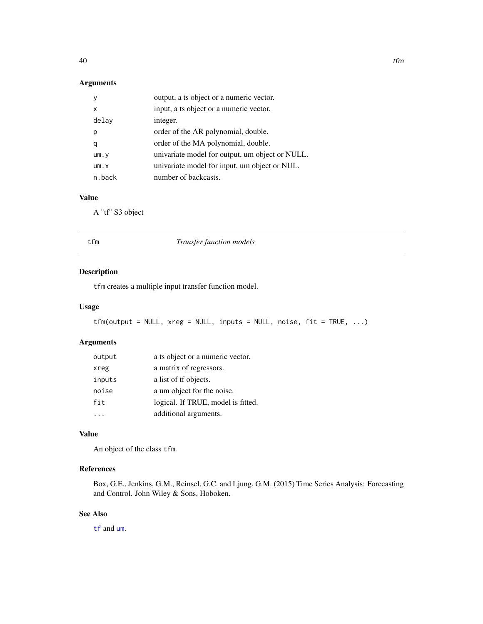# <span id="page-39-0"></span>Arguments

| v      | output, a ts object or a numeric vector.        |
|--------|-------------------------------------------------|
| x      | input, a ts object or a numeric vector.         |
| delay  | integer.                                        |
| р      | order of the AR polynomial, double.             |
| q      | order of the MA polynomial, double.             |
| um.y   | univariate model for output, um object or NULL. |
| um.x   | univariate model for input, um object or NUL.   |
| n.back | number of backcasts.                            |

# Value

A "tf" S3 object

<span id="page-39-1"></span>

| tfm | Transfer function models |  |
|-----|--------------------------|--|
|     |                          |  |

# Description

tfm creates a multiple input transfer function model.

#### Usage

```
tfm(output = NULL, xreg = NULL, inputs = NULL, noise, fit = TRUE, ...)
```
# Arguments

| output | a ts object or a numeric vector.   |
|--------|------------------------------------|
| xreg   | a matrix of regressors.            |
| inputs | a list of the objects.             |
| noise  | a um object for the noise.         |
| fit    | logical. If TRUE, model is fitted. |
|        | additional arguments.              |

# Value

An object of the class tfm.

# References

Box, G.E., Jenkins, G.M., Reinsel, G.C. and Ljung, G.M. (2015) Time Series Analysis: Forecasting and Control. John Wiley & Sons, Hoboken.

# See Also

[tf](#page-37-1) and [um](#page-42-1).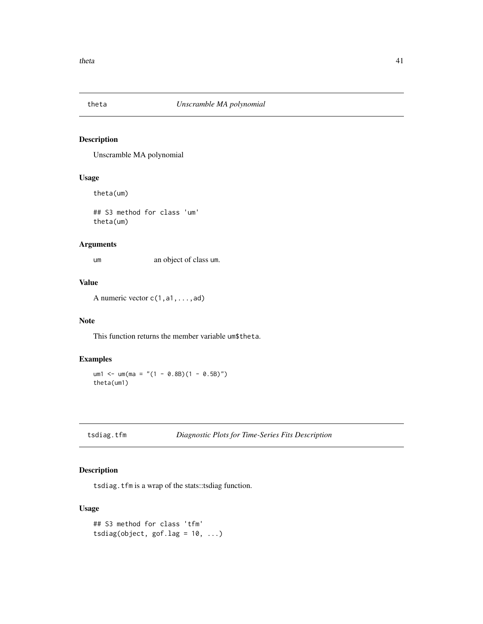<span id="page-40-0"></span>

Unscramble MA polynomial

# Usage

theta(um)

## S3 method for class 'um' theta(um)

#### Arguments

um an object of class um.

#### Value

A numeric vector c(1,a1,...,ad)

# Note

This function returns the member variable um\$theta.

# Examples

um1 <- um(ma = "(1 - 0.8B)(1 - 0.5B)") theta(um1)

```
tsdiag.tfm Diagnostic Plots for Time-Series Fits Description
```
# Description

tsdiag.tfm is a wrap of the stats::tsdiag function.

```
## S3 method for class 'tfm'
tsdiag(object, gof.lag = 10, ...)
```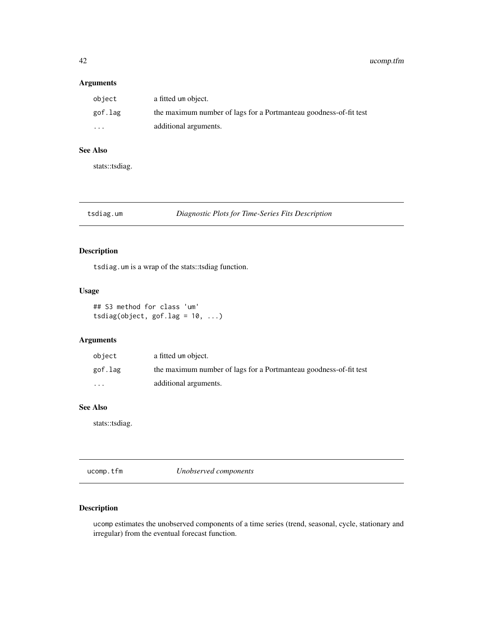#### <span id="page-41-0"></span>Arguments

| object  | a fitted um object.                                               |
|---------|-------------------------------------------------------------------|
| gof.lag | the maximum number of lags for a Portmanteau goodness-of-fit test |
| $\cdot$ | additional arguments.                                             |

#### See Also

stats::tsdiag.

# tsdiag.um *Diagnostic Plots for Time-Series Fits Description*

# Description

tsdiag.um is a wrap of the stats::tsdiag function.

# Usage

## S3 method for class 'um' tsdiag(object, gof.lag =  $10, ...$ )

# Arguments

| object            | a fitted um object.                                               |
|-------------------|-------------------------------------------------------------------|
| gof.lag           | the maximum number of lags for a Portmanteau goodness-of-fit test |
| $\cdot\cdot\cdot$ | additional arguments.                                             |

#### See Also

stats::tsdiag.

ucomp.tfm *Unobserved components*

# Description

ucomp estimates the unobserved components of a time series (trend, seasonal, cycle, stationary and irregular) from the eventual forecast function.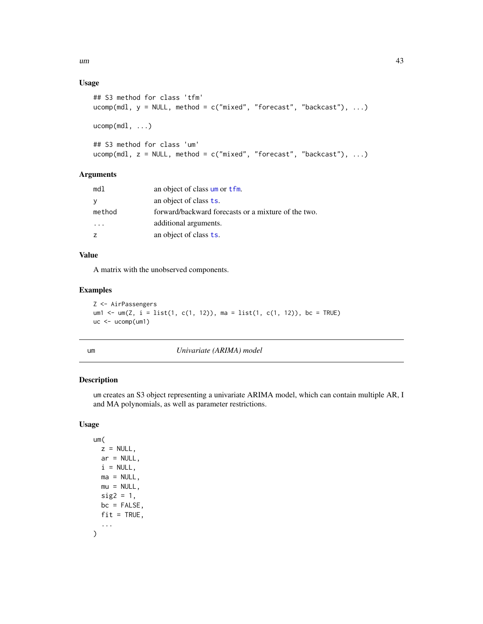<span id="page-42-0"></span> $um$  and  $43$ 

# Usage

```
## S3 method for class 'tfm'
ucomp(mdl, y = NULL, method = c("mixed", "forecast", "backcast"), ...)
ucomp(mdl, ...)
## S3 method for class 'um'
ucomp(mdl, z = NULL, method = c("mixed", "forecast", "backcast"), ...)
```
# Arguments

| md1      | an object of class um or tfm.                       |
|----------|-----------------------------------------------------|
| <b>V</b> | an object of class ts.                              |
| method   | forward/backward forecasts or a mixture of the two. |
| .        | additional arguments.                               |
|          | an object of class ts.                              |

#### Value

A matrix with the unobserved components.

#### Examples

```
Z <- AirPassengers
um1 <- um(Z, i = list(1, c(1, 12)), ma = list(1, c(1, 12)), bc = TRUE)
uc < -uc>omp(um1)
```
<span id="page-42-1"></span>

| r. |  |
|----|--|
|    |  |

um *Univariate (ARIMA) model*

# Description

um creates an S3 object representing a univariate ARIMA model, which can contain multiple AR, I and MA polynomials, as well as parameter restrictions.

# Usage

um(  $z = NULL,$  $ar = NULL,$  $i = NULL,$  $ma = NULL,$  $mu = NULL,$  $sig2 = 1$ ,  $bc = FALSE$ ,  $fit = TRUE,$ ... )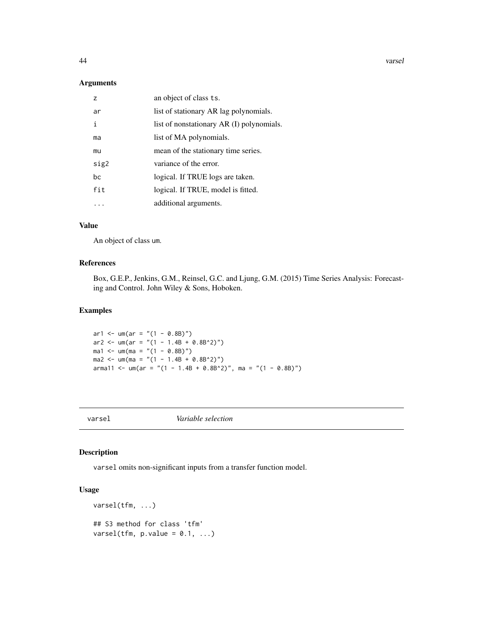<span id="page-43-0"></span>44 varsel

#### Arguments

| 7    | an object of class ts.                    |
|------|-------------------------------------------|
| ar   | list of stationary AR lag polynomials.    |
| i    | list of nonstationary AR (I) polynomials. |
| ma   | list of MA polynomials.                   |
| mu   | mean of the stationary time series.       |
| sig2 | variance of the error.                    |
| bc.  | logical. If TRUE logs are taken.          |
| fit  | logical. If TRUE, model is fitted.        |
|      | additional arguments.                     |

# Value

An object of class um.

#### References

Box, G.E.P., Jenkins, G.M., Reinsel, G.C. and Ljung, G.M. (2015) Time Series Analysis: Forecasting and Control. John Wiley & Sons, Hoboken.

#### Examples

```
ar1 <- um(ar = " (1 - 0.8B)" )ar2 <- um(ar = "(1 - 1.4B + 0.8B^2)")
\text{ma1} \leq \text{um}(\text{ma} = \text{"(1 - 0.8B)"})ma2 \le -um(ma = " (1 - 1.4B + 0.8B^2)^")arma11 <- um(ar = "(1 - 1.4B + 0.8B^2)", ma = "(1 - 0.8B)")
```
varsel *Variable selection*

# Description

varsel omits non-significant inputs from a transfer function model.

# Usage

varsel(tfm, ...) ## S3 method for class 'tfm' varsel(tfm,  $p.value = 0.1, ...$ )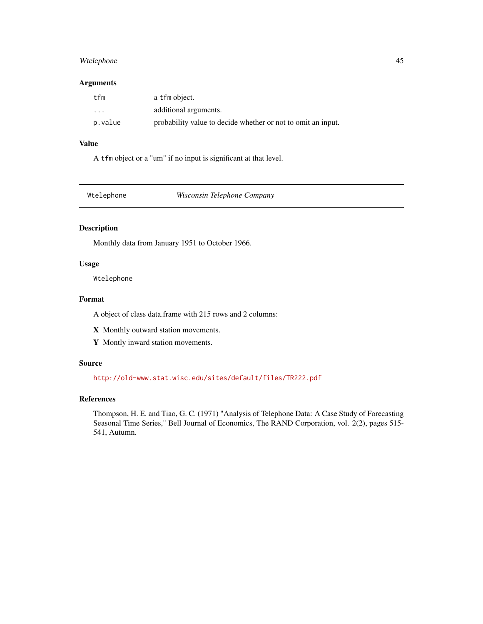# <span id="page-44-0"></span>Wtelephone 45

#### Arguments

| tfm                     | a tfm object.                                                |
|-------------------------|--------------------------------------------------------------|
| $\cdot$ $\cdot$ $\cdot$ | additional arguments.                                        |
| p.value                 | probability value to decide whether or not to omit an input. |

#### Value

A tfm object or a "um" if no input is significant at that level.

| Wtelephone |
|------------|
|------------|

**Wisconsin Telephone Company** 

#### Description

Monthly data from January 1951 to October 1966.

# Usage

Wtelephone

#### Format

A object of class data.frame with 215 rows and 2 columns:

X Monthly outward station movements.

Y Montly inward station movements.

#### Source

<http://old-www.stat.wisc.edu/sites/default/files/TR222.pdf>

#### References

Thompson, H. E. and Tiao, G. C. (1971) "Analysis of Telephone Data: A Case Study of Forecasting Seasonal Time Series," Bell Journal of Economics, The RAND Corporation, vol. 2(2), pages 515- 541, Autumn.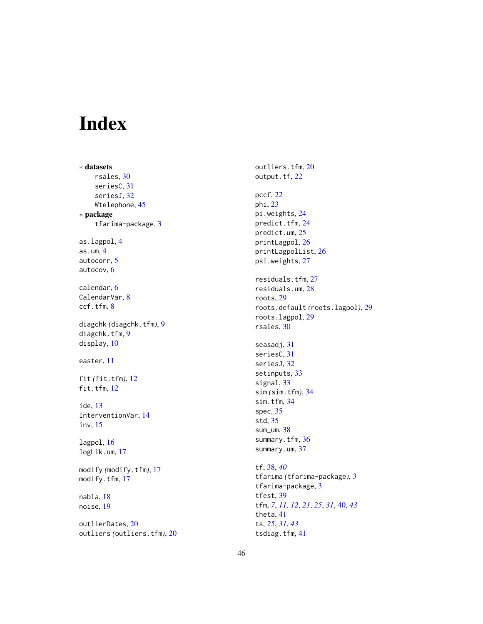# <span id="page-45-0"></span>Index

∗ datasets rsales , [30](#page-29-0) seriesC , [31](#page-30-0) seriesJ , [32](#page-31-0) Wtelephone , [45](#page-44-0) ∗ package tfarima-package , [3](#page-2-0) as.lagpol , [4](#page-3-0) as.um , [4](#page-3-0) autocorr , [5](#page-4-0) autocov , [6](#page-5-0) calendar , [6](#page-5-0) CalendarVar, [8](#page-7-0) ccf.tfm , [8](#page-7-0) diagchk *(*diagchk.tfm *)* , [9](#page-8-0) diagchk.tfm, [9](#page-8-0) display , [10](#page-9-0) easter , [11](#page-10-0) fit *(*fit.tfm *)* , [12](#page-11-0) fit.tfm, [12](#page-11-0) ide , [13](#page-12-0) InterventionVar , [14](#page-13-0) inv , [15](#page-14-0) lagpol , [16](#page-15-0) logLik.um , [17](#page-16-0) modify *(*modify.tfm *)* , [17](#page-16-0) modify.tfm , [17](#page-16-0) nabla , [18](#page-17-0) noise , [19](#page-18-0) outlierDates , [20](#page-19-0)

outliers *(*outliers.tfm *)* , [20](#page-19-0)

outliers.tfm , [20](#page-19-0) output.tf, [22](#page-21-0) pccf , [22](#page-21-0) phi , [23](#page-22-0) pi.weights , [24](#page-23-0) predict.tfm , [24](#page-23-0) predict.um , [25](#page-24-0) printLagpol , [26](#page-25-0) printLagpolList , [26](#page-25-0) psi.weights , [27](#page-26-0) residuals.tfm , [27](#page-26-0) residuals.um , [28](#page-27-0) roots , [29](#page-28-0) roots.default *(*roots.lagpol *)* , [29](#page-28-0) roots.lagpol , [29](#page-28-0) rsales , [30](#page-29-0) seasadj , [31](#page-30-0) seriesC, [31](#page-30-0) seriesJ , [32](#page-31-0) setinputs , [33](#page-32-0) signal, [33](#page-32-0) sim *(*sim.tfm *)* , [34](#page-33-0) sim.tfm , [34](#page-33-0) spec , [35](#page-34-0) std , [35](#page-34-0) sum\_um , [38](#page-37-0) summary.tfm, [36](#page-35-0) summary.um, [37](#page-36-0) tf , [38](#page-37-0) , *[40](#page-39-0)* tfarima *(*tfarima-package *)* , [3](#page-2-0) tfarima-package , [3](#page-2-0) tfest , [39](#page-38-0) tfm , *[7](#page-6-0)* , *[11](#page-10-0) , [12](#page-11-0)* , *[21](#page-20-0)* , *[25](#page-24-0)* , *[31](#page-30-0)* , [40](#page-39-0) , *[43](#page-42-0)* theta , [41](#page-40-0) ts , *[25](#page-24-0)* , *[31](#page-30-0)* , *[43](#page-42-0)* tsdiag.tfm , [41](#page-40-0)